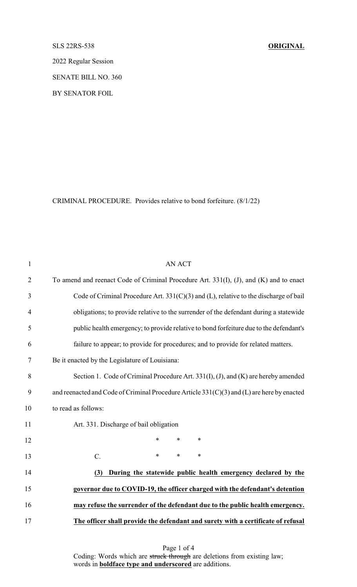SLS 22RS-538 **ORIGINAL**

2022 Regular Session

SENATE BILL NO. 360

BY SENATOR FOIL

CRIMINAL PROCEDURE. Provides relative to bond forfeiture. (8/1/22)

| $\mathbf{1}$   | <b>AN ACT</b>                                                                              |
|----------------|--------------------------------------------------------------------------------------------|
| $\overline{2}$ | To amend and reenact Code of Criminal Procedure Art. 331(I), (J), and (K) and to enact     |
| 3              | Code of Criminal Procedure Art. 331(C)(3) and (L), relative to the discharge of bail       |
| 4              | obligations; to provide relative to the surrender of the defendant during a statewide      |
| 5              | public health emergency; to provide relative to bond forfeiture due to the defendant's     |
| 6              | failure to appear; to provide for procedures; and to provide for related matters.          |
| 7              | Be it enacted by the Legislature of Louisiana:                                             |
| $8\,$          | Section 1. Code of Criminal Procedure Art. 331(I), (J), and (K) are hereby amended         |
| 9              | and reenacted and Code of Criminal Procedure Article 331(C)(3) and (L) are here by enacted |
| 10             | to read as follows:                                                                        |
| 11             | Art. 331. Discharge of bail obligation                                                     |
| 12             | *<br>$\ast$<br>$\ast$                                                                      |
| 13             | $C$ .<br>*<br>$\ast$<br>$\ast$                                                             |
| 14             | During the statewide public health emergency declared by the<br>(3)                        |
| 15             | governor due to COVID-19, the officer charged with the defendant's detention               |
| 16             | may refuse the surrender of the defendant due to the public health emergency.              |
| 17             | The officer shall provide the defendant and surety with a certificate of refusal           |

Page 1 of 4 Coding: Words which are struck through are deletions from existing law; words in **boldface type and underscored** are additions.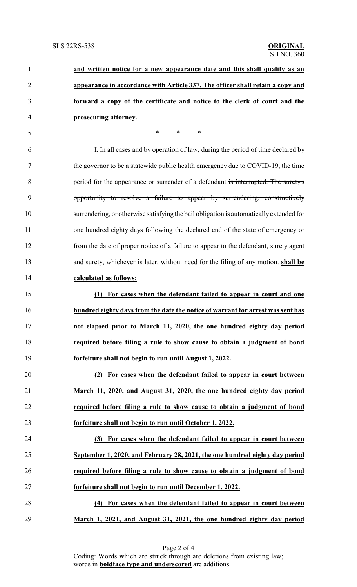| $\mathbf{1}$   | and written notice for a new appearance date and this shall qualify as an               |
|----------------|-----------------------------------------------------------------------------------------|
| $\overline{2}$ | appearance in accordance with Article 337. The officer shall retain a copy and          |
| 3              | forward a copy of the certificate and notice to the clerk of court and the              |
| 4              | prosecuting attorney.                                                                   |
| 5              | $\ast$<br>$\ast$<br>$\ast$                                                              |
| 6              | I. In all cases and by operation of law, during the period of time declared by          |
| 7              | the governor to be a statewide public health emergency due to COVID-19, the time        |
| 8              | period for the appearance or surrender of a defendant is interrupted. The surety's      |
| 9              | opportunity to resolve a failure to appear by surrendering, constructively              |
| 10             | surrendering, or otherwise satisfying the bail obligation is automatically extended for |
| 11             | one hundred eighty days following the declared end of the state of emergency or         |
| 12             | from the date of proper notice of a failure to appear to the defendant, surety agent    |
| 13             | and surety, whichever is later, without need for the filing of any motion, shall be     |
| 14             | calculated as follows:                                                                  |
| 15             | (1) For cases when the defendant failed to appear in court and one                      |
| 16             | hundred eighty days from the date the notice of warrant for arrest was sent has         |
| 17             | not elapsed prior to March 11, 2020, the one hundred eighty day period                  |
| 18             | required before filing a rule to show cause to obtain a judgment of bond                |
| 19             | forfeiture shall not begin to run until August 1, 2022.                                 |
| 20             | (2) For cases when the defendant failed to appear in court between                      |
| 21             | March 11, 2020, and August 31, 2020, the one hundred eighty day period                  |
| 22             | required before filing a rule to show cause to obtain a judgment of bond                |
| 23             | forfeiture shall not begin to run until October 1, 2022.                                |
| 24             | (3) For cases when the defendant failed to appear in court between                      |
| 25             | September 1, 2020, and February 28, 2021, the one hundred eighty day period             |
| 26             | required before filing a rule to show cause to obtain a judgment of bond                |
| 27             | forfeiture shall not begin to run until December 1, 2022.                               |
| 28             | (4) For cases when the defendant failed to appear in court between                      |
| 29             | March 1, 2021, and August 31, 2021, the one hundred eighty day period                   |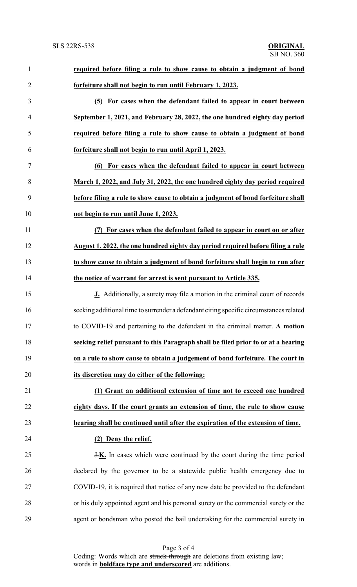| $\mathbf{1}$   | required before filing a rule to show cause to obtain a judgment of bond               |  |
|----------------|----------------------------------------------------------------------------------------|--|
| $\overline{2}$ | forfeiture shall not begin to run until February 1, 2023.                              |  |
| $\mathfrak{Z}$ | (5) For cases when the defendant failed to appear in court between                     |  |
| $\overline{4}$ | September 1, 2021, and February 28, 2022, the one hundred eighty day period            |  |
| 5              | required before filing a rule to show cause to obtain a judgment of bond               |  |
| 6              | forfeiture shall not begin to run until April 1, 2023.                                 |  |
| $\overline{7}$ | (6) For cases when the defendant failed to appear in court between                     |  |
| 8              | March 1, 2022, and July 31, 2022, the one hundred eighty day period required           |  |
| 9              | before filing a rule to show cause to obtain a judgment of bond forfeiture shall       |  |
| 10             | not begin to run until June 1, 2023.                                                   |  |
| 11             | (7) For cases when the defendant failed to appear in court on or after                 |  |
| 12             | August 1, 2022, the one hundred eighty day period required before filing a rule        |  |
| 13             | to show cause to obtain a judgment of bond forfeiture shall begin to run after         |  |
| 14             | the notice of warrant for arrest is sent pursuant to Article 335.                      |  |
| 15             | <b>J.</b> Additionally, a surety may file a motion in the criminal court of records    |  |
| 16             | seeking additional time to surrender a defendant citing specific circumstances related |  |
| 17             | to COVID-19 and pertaining to the defendant in the criminal matter. A motion           |  |
| 18             | seeking relief pursuant to this Paragraph shall be filed prior to or at a hearing      |  |
| 19             | on a rule to show cause to obtain a judgement of bond forfeiture. The court in         |  |
| 20             | its discretion may do either of the following:                                         |  |
| 21             | (1) Grant an additional extension of time not to exceed one hundred                    |  |
| 22             | eighty days. If the court grants an extension of time, the rule to show cause          |  |
| 23             | hearing shall be continued until after the expiration of the extension of time.        |  |
| 24             | (2) Deny the relief.                                                                   |  |
| 25             | <b>J.K.</b> In cases which were continued by the court during the time period          |  |
| 26             | declared by the governor to be a statewide public health emergency due to              |  |
| 27             | COVID-19, it is required that notice of any new date be provided to the defendant      |  |
| 28             | or his duly appointed agent and his personal surety or the commercial surety or the    |  |
| 29             | agent or bondsman who posted the bail undertaking for the commercial surety in         |  |

Page 3 of 4 Coding: Words which are struck through are deletions from existing law; words in **boldface type and underscored** are additions.